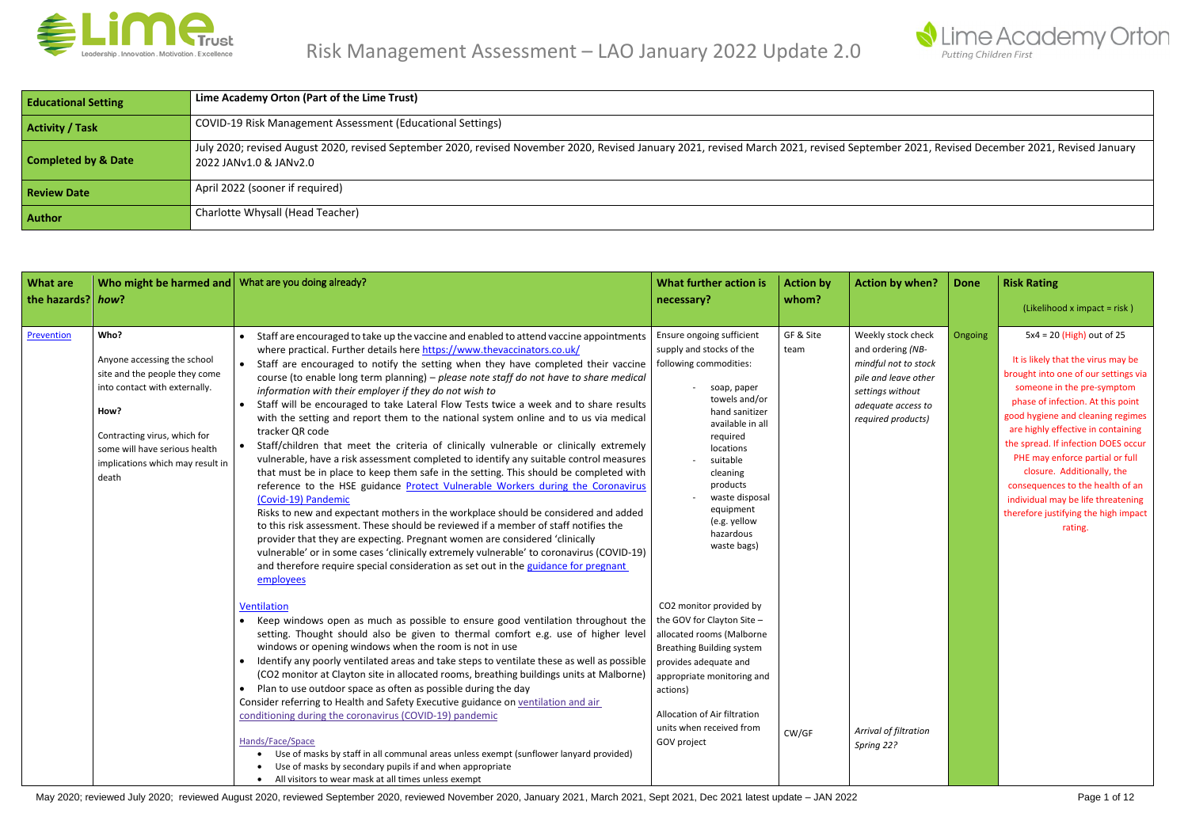

| <b>What are</b><br>the hazards? how? | Who might be harmed and   What are you doing already?                                                                                                                                                                       |                                                                                                                                                                                                                                                                                                                                                                                                                                                                                                                                                                                                                                                                                                                                                                                                                                                                                                                                                                                                                                                                                                                                                                                                                                                                                                                                                                                                                                                                                  | What further action is<br>necessary?                                                                                                                                                                                                                                                                  | <b>Action by</b><br>whom? | <b>Action by when?</b>                                                                                                                                  | <b>Done</b> | <b>Risk Rating</b><br>(Likelihood x impact = risk)                                                                                                                                                                                                                                                                                                                                                                                                                                           |
|--------------------------------------|-----------------------------------------------------------------------------------------------------------------------------------------------------------------------------------------------------------------------------|----------------------------------------------------------------------------------------------------------------------------------------------------------------------------------------------------------------------------------------------------------------------------------------------------------------------------------------------------------------------------------------------------------------------------------------------------------------------------------------------------------------------------------------------------------------------------------------------------------------------------------------------------------------------------------------------------------------------------------------------------------------------------------------------------------------------------------------------------------------------------------------------------------------------------------------------------------------------------------------------------------------------------------------------------------------------------------------------------------------------------------------------------------------------------------------------------------------------------------------------------------------------------------------------------------------------------------------------------------------------------------------------------------------------------------------------------------------------------------|-------------------------------------------------------------------------------------------------------------------------------------------------------------------------------------------------------------------------------------------------------------------------------------------------------|---------------------------|---------------------------------------------------------------------------------------------------------------------------------------------------------|-------------|----------------------------------------------------------------------------------------------------------------------------------------------------------------------------------------------------------------------------------------------------------------------------------------------------------------------------------------------------------------------------------------------------------------------------------------------------------------------------------------------|
| Prevention                           | Who?<br>Anyone accessing the school<br>site and the people they come<br>into contact with externally.<br>How?<br>Contracting virus, which for<br>some will have serious health<br>implications which may result in<br>death | • Staff are encouraged to take up the vaccine and enabled to attend vaccine appointments<br>where practical. Further details here https://www.thevaccinators.co.uk/<br>Staff are encouraged to notify the setting when they have completed their vaccine<br>course (to enable long term planning) - please note staff do not have to share medical<br>information with their employer if they do not wish to<br>Staff will be encouraged to take Lateral Flow Tests twice a week and to share results<br>with the setting and report them to the national system online and to us via medical<br>tracker QR code<br>Staff/children that meet the criteria of clinically vulnerable or clinically extremely<br>$\bullet$<br>vulnerable, have a risk assessment completed to identify any suitable control measures<br>that must be in place to keep them safe in the setting. This should be completed with<br>reference to the HSE guidance Protect Vulnerable Workers during the Coronavirus<br>(Covid-19) Pandemic<br>Risks to new and expectant mothers in the workplace should be considered and added<br>to this risk assessment. These should be reviewed if a member of staff notifies the<br>provider that they are expecting. Pregnant women are considered 'clinically<br>vulnerable' or in some cases 'clinically extremely vulnerable' to coronavirus (COVID-19)<br>and therefore require special consideration as set out in the guidance for pregnant<br>employees | Ensure ongoing sufficient<br>supply and stocks of the<br>team<br>following commodities:<br>soap, paper<br>towels and/or<br>hand sanitizer<br>available in all<br>required<br>locations<br>suitable<br>cleaning<br>products<br>waste disposal<br>equipment<br>(e.g. yellow<br>hazardous<br>waste bags) | GF & Site                 | Weekly stock check<br>and ordering (NB-<br>mindful not to stock<br>pile and leave other<br>settings without<br>adequate access to<br>required products) | Ongoing     | $5x4 = 20$ (High) out of 25<br>It is likely that the virus may be<br>brought into one of our settings via<br>someone in the pre-symptom<br>phase of infection. At this point<br>good hygiene and cleaning regimes<br>are highly effective in containing<br>the spread. If infection DOES occur<br>PHE may enforce partial or full<br>closure. Additionally, the<br>consequences to the health of an<br>individual may be life threatening<br>therefore justifying the high impact<br>rating. |
|                                      |                                                                                                                                                                                                                             | Ventilation<br>Keep windows open as much as possible to ensure good ventilation throughout the<br>setting. Thought should also be given to thermal comfort e.g. use of higher level<br>windows or opening windows when the room is not in use<br>Identify any poorly ventilated areas and take steps to ventilate these as well as possible<br>(CO2 monitor at Clayton site in allocated rooms, breathing buildings units at Malborne)<br>• Plan to use outdoor space as often as possible during the day<br>Consider referring to Health and Safety Executive guidance on ventilation and air<br>conditioning during the coronavirus (COVID-19) pandemic<br>Hands/Face/Space<br>Use of masks by staff in all communal areas unless exempt (sunflower lanyard provided)<br>Use of masks by secondary pupils if and when appropriate<br>• All visitors to wear mask at all times unless exempt                                                                                                                                                                                                                                                                                                                                                                                                                                                                                                                                                                                    | CO2 monitor provided by<br>the GOV for Clayton Site -<br>allocated rooms (Malborne<br><b>Breathing Building system</b><br>provides adequate and<br>appropriate monitoring and<br>actions)<br>Allocation of Air filtration<br>units when received from<br>GOV project                                  | CW/GF                     | Arrival of filtration<br>Spring 22?                                                                                                                     |             |                                                                                                                                                                                                                                                                                                                                                                                                                                                                                              |



### r 2021, Revised December 2021, Revised January

| <b>Educational Setting</b>     | Lime Academy Orton (Part of the Lime Trust)                                                                                                                          |
|--------------------------------|----------------------------------------------------------------------------------------------------------------------------------------------------------------------|
| <b>Activity / Task</b>         | COVID-19 Risk Management Assessment (Educational Settings)                                                                                                           |
| <b>Completed by &amp; Date</b> | July 2020; revised August 2020, revised September 2020, revised November 2020, Revised January 2021, revised March 2021, revised September<br>2022 JANv1.0 & JANv2.0 |
| <b>Review Date</b>             | April 2022 (sooner if required)                                                                                                                                      |
| <b>Author</b>                  | Charlotte Whysall (Head Teacher)                                                                                                                                     |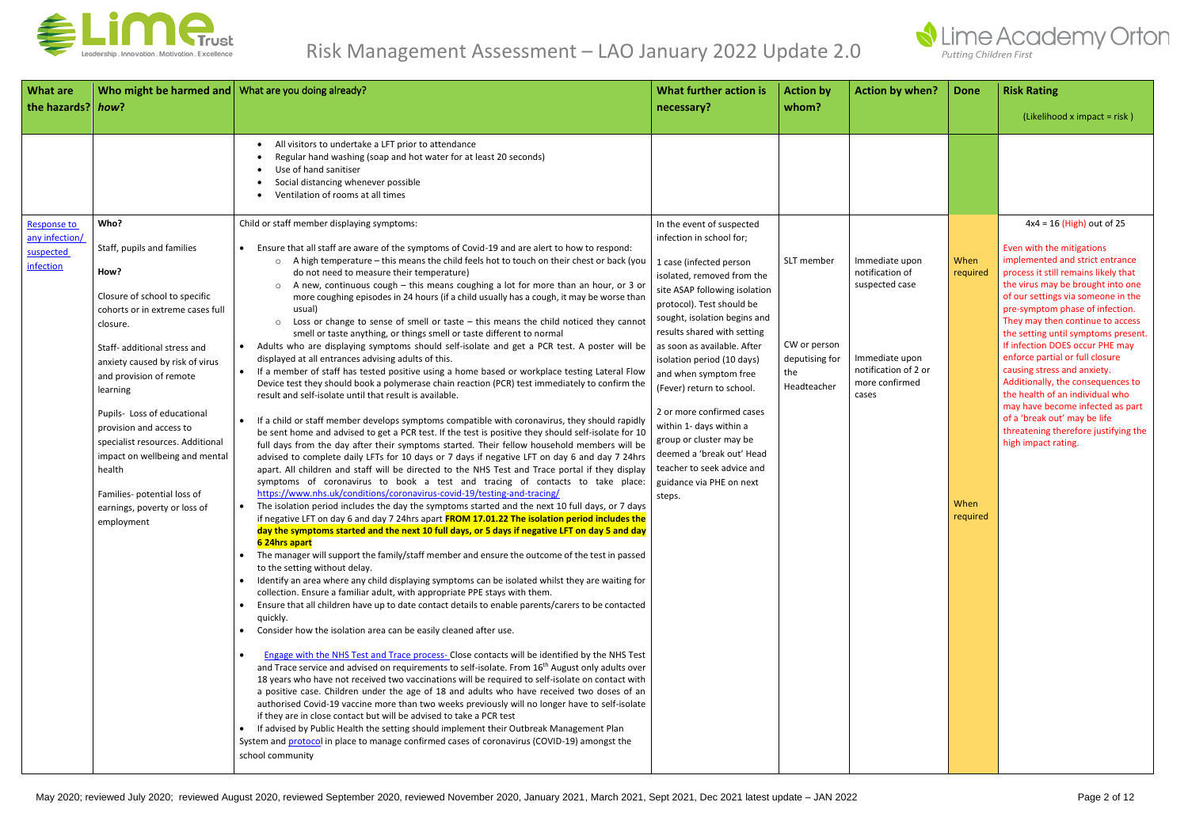

| <b>What are</b><br>Who might be harmed and What are you doing already?<br>the hazards? how?                                                                                                                                                                                                                                                                                                                                                                                                                             |                                                                                                                                                                                                                                                                                                                                                                                                                                                                                                                                                                                                                                                                                                                                                                                                                                                                                                                                                                                                                                                                                                                                                                                                                                                                                                                                                                                                                                                                                                                                                                                                                                                                                                                                                                                                                                                                                                                                                                                                                                                                                                                                                                                                                                                                                                                                                                                                                                                                                                                                                                                                                                                                                                                                                                                                                                                                                                                                                                                                                                                                                                                                                                                                                                                                                                                                                                                                                                                                           | What further action is<br>necessary?                                                                                                                                                                                                                                                                                                                                                                                                                                                                                                               | <b>Action by</b><br>whom?                                          | <b>Action by when?</b>                                                                                                   | <b>Done</b>                          | <b>Risk Rating</b><br>(Likelihood x impact = risk)                                                                                                                                                                                                                                                                                                                                                                                                                                                                                                                                                                                           |
|-------------------------------------------------------------------------------------------------------------------------------------------------------------------------------------------------------------------------------------------------------------------------------------------------------------------------------------------------------------------------------------------------------------------------------------------------------------------------------------------------------------------------|---------------------------------------------------------------------------------------------------------------------------------------------------------------------------------------------------------------------------------------------------------------------------------------------------------------------------------------------------------------------------------------------------------------------------------------------------------------------------------------------------------------------------------------------------------------------------------------------------------------------------------------------------------------------------------------------------------------------------------------------------------------------------------------------------------------------------------------------------------------------------------------------------------------------------------------------------------------------------------------------------------------------------------------------------------------------------------------------------------------------------------------------------------------------------------------------------------------------------------------------------------------------------------------------------------------------------------------------------------------------------------------------------------------------------------------------------------------------------------------------------------------------------------------------------------------------------------------------------------------------------------------------------------------------------------------------------------------------------------------------------------------------------------------------------------------------------------------------------------------------------------------------------------------------------------------------------------------------------------------------------------------------------------------------------------------------------------------------------------------------------------------------------------------------------------------------------------------------------------------------------------------------------------------------------------------------------------------------------------------------------------------------------------------------------------------------------------------------------------------------------------------------------------------------------------------------------------------------------------------------------------------------------------------------------------------------------------------------------------------------------------------------------------------------------------------------------------------------------------------------------------------------------------------------------------------------------------------------------------------------------------------------------------------------------------------------------------------------------------------------------------------------------------------------------------------------------------------------------------------------------------------------------------------------------------------------------------------------------------------------------------------------------------------------------------------------------------------------------|----------------------------------------------------------------------------------------------------------------------------------------------------------------------------------------------------------------------------------------------------------------------------------------------------------------------------------------------------------------------------------------------------------------------------------------------------------------------------------------------------------------------------------------------------|--------------------------------------------------------------------|--------------------------------------------------------------------------------------------------------------------------|--------------------------------------|----------------------------------------------------------------------------------------------------------------------------------------------------------------------------------------------------------------------------------------------------------------------------------------------------------------------------------------------------------------------------------------------------------------------------------------------------------------------------------------------------------------------------------------------------------------------------------------------------------------------------------------------|
|                                                                                                                                                                                                                                                                                                                                                                                                                                                                                                                         | All visitors to undertake a LFT prior to attendance<br>Regular hand washing (soap and hot water for at least 20 seconds)<br>Use of hand sanitiser<br>Social distancing whenever possible<br>Ventilation of rooms at all times                                                                                                                                                                                                                                                                                                                                                                                                                                                                                                                                                                                                                                                                                                                                                                                                                                                                                                                                                                                                                                                                                                                                                                                                                                                                                                                                                                                                                                                                                                                                                                                                                                                                                                                                                                                                                                                                                                                                                                                                                                                                                                                                                                                                                                                                                                                                                                                                                                                                                                                                                                                                                                                                                                                                                                                                                                                                                                                                                                                                                                                                                                                                                                                                                                             |                                                                                                                                                                                                                                                                                                                                                                                                                                                                                                                                                    |                                                                    |                                                                                                                          |                                      |                                                                                                                                                                                                                                                                                                                                                                                                                                                                                                                                                                                                                                              |
| Who?<br>Response to<br>any infection/<br>Staff, pupils and families<br>suspected<br>infection<br>How?<br>Closure of school to specific<br>cohorts or in extreme cases full<br>closure.<br>Staff- additional stress and<br>anxiety caused by risk of virus<br>and provision of remote<br>learning<br>Pupils- Loss of educational<br>provision and access to<br>specialist resources. Additional<br>impact on wellbeing and mental<br>health<br>Families- potential loss of<br>earnings, poverty or loss of<br>employment | Child or staff member displaying symptoms:<br>Ensure that all staff are aware of the symptoms of Covid-19 and are alert to how to respond:<br>$\bullet$<br>○ A high temperature – this means the child feels hot to touch on their chest or back (you<br>do not need to measure their temperature)<br>A new, continuous cough - this means coughing a lot for more than an hour, or 3 or<br>more coughing episodes in 24 hours (if a child usually has a cough, it may be worse than<br>usual)<br>o Loss or change to sense of smell or taste - this means the child noticed they cannot<br>smell or taste anything, or things smell or taste different to normal<br>Adults who are displaying symptoms should self-isolate and get a PCR test. A poster will be<br>$\bullet$<br>displayed at all entrances advising adults of this.<br>If a member of staff has tested positive using a home based or workplace testing Lateral Flow<br>$\bullet$<br>Device test they should book a polymerase chain reaction (PCR) test immediately to confirm the<br>result and self-isolate until that result is available.<br>If a child or staff member develops symptoms compatible with coronavirus, they should rapidly<br>be sent home and advised to get a PCR test. If the test is positive they should self-isolate for 10<br>full days from the day after their symptoms started. Their fellow household members will be<br>advised to complete daily LFTs for 10 days or 7 days if negative LFT on day 6 and day 7 24hrs<br>apart. All children and staff will be directed to the NHS Test and Trace portal if they display<br>symptoms of coronavirus to book a test and tracing of contacts to take place:<br>https://www.nhs.uk/conditions/coronavirus-covid-19/testing-and-tracing/<br>The isolation period includes the day the symptoms started and the next 10 full days, or 7 days<br>if negative LFT on day 6 and day 7 24hrs apart FROM 17.01.22 The isolation period includes the<br>day the symptoms started and the next 10 full days, or 5 days if negative LFT on day 5 and day<br>6 24hrs apart<br>The manager will support the family/staff member and ensure the outcome of the test in passed<br>$\bullet$<br>to the setting without delay.<br>Identify an area where any child displaying symptoms can be isolated whilst they are waiting for<br>$\bullet$<br>collection. Ensure a familiar adult, with appropriate PPE stays with them.<br>Ensure that all children have up to date contact details to enable parents/carers to be contacted<br>quickly.<br>Consider how the isolation area can be easily cleaned after use.<br>Engage with the NHS Test and Trace process- Close contacts will be identified by the NHS Test<br>$\bullet$<br>and Trace service and advised on requirements to self-isolate. From 16 <sup>th</sup> August only adults over<br>18 years who have not received two vaccinations will be required to self-isolate on contact with<br>a positive case. Children under the age of 18 and adults who have received two doses of an<br>authorised Covid-19 vaccine more than two weeks previously will no longer have to self-isolate<br>if they are in close contact but will be advised to take a PCR test<br>If advised by Public Health the setting should implement their Outbreak Management Plan<br>System and protocol in place to manage confirmed cases of coronavirus (COVID-19) amongst the<br>school community | In the event of suspected<br>infection in school for;<br>1 case (infected person<br>isolated, removed from the<br>site ASAP following isolation<br>protocol). Test should be<br>sought, isolation begins and<br>results shared with setting<br>as soon as available. After<br>isolation period (10 days)<br>and when symptom free<br>(Fever) return to school.<br>2 or more confirmed cases<br>within 1- days within a<br>group or cluster may be<br>deemed a 'break out' Head<br>teacher to seek advice and<br>guidance via PHE on next<br>steps. | SLT member<br>CW or person<br>deputising for<br>the<br>Headteacher | Immediate upon<br>notification of<br>suspected case<br>Immediate upon<br>notification of 2 or<br>more confirmed<br>cases | When<br>required<br>When<br>required | $4x4 = 16$ (High) out of 25<br>Even with the mitigations<br>implemented and strict entrance<br>process it still remains likely that<br>the virus may be brought into one<br>of our settings via someone in the<br>pre-symptom phase of infection.<br>They may then continue to access<br>the setting until symptoms present.<br>If infection DOES occur PHE may<br>enforce partial or full closure<br>causing stress and anxiety.<br>Additionally, the consequences to<br>the health of an individual who<br>may have become infected as part<br>of a 'break out' may be life<br>threatening therefore justifying the<br>high impact rating. |

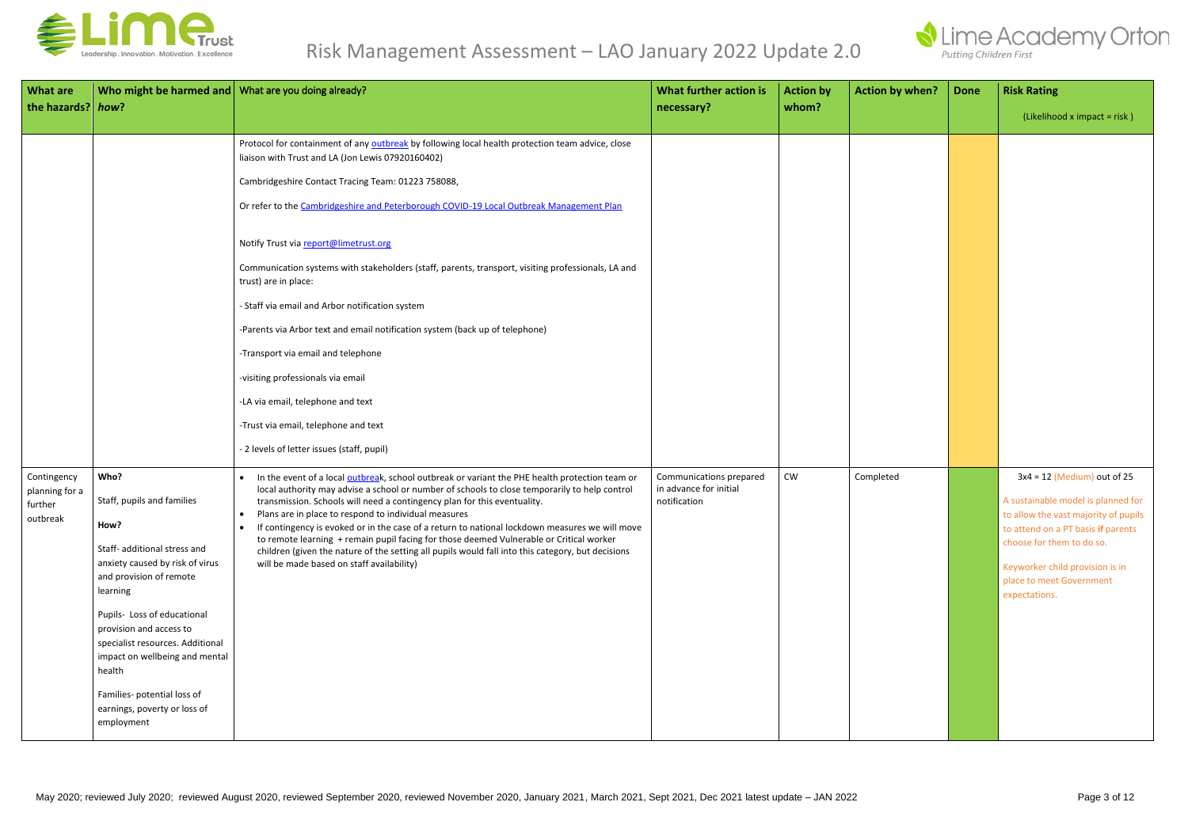

| <b>What are</b><br>the hazards? how?                 | Who might be harmed and   What are you doing already?                                                                                                                                                                                                                                                                                                                       |                                                                                                                                                                                                                                                                                                                                                                                                                                                                                                                                                                                                                                                                                                                                                                                                                        | What further action is<br>necessary?                              | <b>Action by</b><br>whom? | <b>Action by when?</b> | <b>Done</b> | <b>Risk Rating</b><br>$(Likelihood x impact = risk)$                                                                                                                                                                                                           |
|------------------------------------------------------|-----------------------------------------------------------------------------------------------------------------------------------------------------------------------------------------------------------------------------------------------------------------------------------------------------------------------------------------------------------------------------|------------------------------------------------------------------------------------------------------------------------------------------------------------------------------------------------------------------------------------------------------------------------------------------------------------------------------------------------------------------------------------------------------------------------------------------------------------------------------------------------------------------------------------------------------------------------------------------------------------------------------------------------------------------------------------------------------------------------------------------------------------------------------------------------------------------------|-------------------------------------------------------------------|---------------------------|------------------------|-------------|----------------------------------------------------------------------------------------------------------------------------------------------------------------------------------------------------------------------------------------------------------------|
|                                                      |                                                                                                                                                                                                                                                                                                                                                                             | Protocol for containment of any outbreak by following local health protection team advice, close<br>liaison with Trust and LA (Jon Lewis 07920160402)<br>Cambridgeshire Contact Tracing Team: 01223 758088,<br>Or refer to the Cambridgeshire and Peterborough COVID-19 Local Outbreak Management Plan<br>Notify Trust via report@limetrust.org<br>Communication systems with stakeholders (staff, parents, transport, visiting professionals, LA and<br>trust) are in place:<br>- Staff via email and Arbor notification system<br>-Parents via Arbor text and email notification system (back up of telephone)<br>-Transport via email and telephone<br>-visiting professionals via email<br>-LA via email, telephone and text<br>-Trust via email, telephone and text<br>- 2 levels of letter issues (staff, pupil) |                                                                   |                           |                        |             |                                                                                                                                                                                                                                                                |
| Contingency<br>planning for a<br>further<br>outbreak | Who?<br>Staff, pupils and families<br>How?<br>Staff- additional stress and<br>anxiety caused by risk of virus<br>and provision of remote<br>learning<br>Pupils- Loss of educational<br>provision and access to<br>specialist resources. Additional<br>impact on wellbeing and mental<br>health<br>Families- potential loss of<br>earnings, poverty or loss of<br>employment | In the event of a local outbreak, school outbreak or variant the PHE health protection team or<br>$\bullet$<br>local authority may advise a school or number of schools to close temporarily to help control<br>transmission. Schools will need a contingency plan for this eventuality.<br>Plans are in place to respond to individual measures<br>$\bullet$<br>If contingency is evoked or in the case of a return to national lockdown measures we will move<br>$\bullet$<br>to remote learning + remain pupil facing for those deemed Vulnerable or Critical worker<br>children (given the nature of the setting all pupils would fall into this category, but decisions<br>will be made based on staff availability)                                                                                              | Communications prepared<br>in advance for initial<br>notification | CW                        | Completed              |             | $3x4 = 12$ (Medium) out of 25<br>A sustainable model is planned for<br>to allow the vast majority of pupils<br>to attend on a PT basis if parents<br>choose for them to do so.<br>Keyworker child provision is in<br>place to meet Government<br>expectations. |

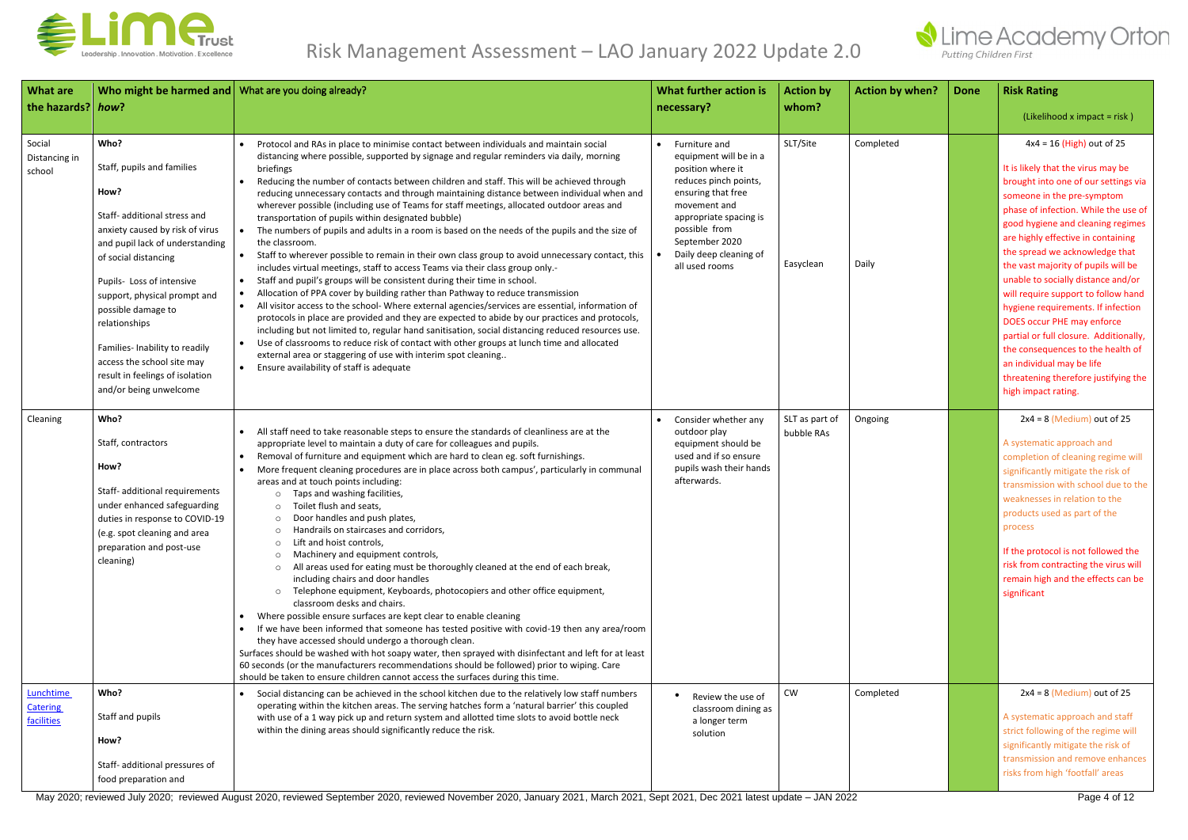

| <b>What are</b><br>the hazards? how?       | Who might be harmed and What are you doing already?                                                                                                                                                                                                                                                                                                                                                       |                                                                                                                                                                                                                                                                                                                                                                                                                                                                                                                                                                                                                                                                                                                                                                                                                                                                                                                                                                                                                                                                                                                                                                                                                                                                                                                                                                                                                                                                                                                                                                                              | What further action is<br>necessary?                                                                                                                                                                                                   | <b>Action by</b><br>whom?    | <b>Action by when?</b> | <b>Done</b> | <b>Risk Rating</b><br>(Likelihood x impact = risk)                                                                                                                                                                                                                                                                                                                                                                                                                                                                                                                                                                                                              |
|--------------------------------------------|-----------------------------------------------------------------------------------------------------------------------------------------------------------------------------------------------------------------------------------------------------------------------------------------------------------------------------------------------------------------------------------------------------------|----------------------------------------------------------------------------------------------------------------------------------------------------------------------------------------------------------------------------------------------------------------------------------------------------------------------------------------------------------------------------------------------------------------------------------------------------------------------------------------------------------------------------------------------------------------------------------------------------------------------------------------------------------------------------------------------------------------------------------------------------------------------------------------------------------------------------------------------------------------------------------------------------------------------------------------------------------------------------------------------------------------------------------------------------------------------------------------------------------------------------------------------------------------------------------------------------------------------------------------------------------------------------------------------------------------------------------------------------------------------------------------------------------------------------------------------------------------------------------------------------------------------------------------------------------------------------------------------|----------------------------------------------------------------------------------------------------------------------------------------------------------------------------------------------------------------------------------------|------------------------------|------------------------|-------------|-----------------------------------------------------------------------------------------------------------------------------------------------------------------------------------------------------------------------------------------------------------------------------------------------------------------------------------------------------------------------------------------------------------------------------------------------------------------------------------------------------------------------------------------------------------------------------------------------------------------------------------------------------------------|
| Social<br>Distancing in<br>school          | Who?<br>Staff, pupils and families<br>How?<br>Staff- additional stress and<br>anxiety caused by risk of virus<br>and pupil lack of understanding<br>of social distancing<br>Pupils- Loss of intensive<br>support, physical prompt and<br>possible damage to<br>relationships<br>Families- Inability to readily<br>access the school site may<br>result in feelings of isolation<br>and/or being unwelcome | Protocol and RAs in place to minimise contact between individuals and maintain social<br>distancing where possible, supported by signage and regular reminders via daily, morning<br>briefings<br>Reducing the number of contacts between children and staff. This will be achieved through<br>reducing unnecessary contacts and through maintaining distance between individual when and<br>wherever possible (including use of Teams for staff meetings, allocated outdoor areas and<br>transportation of pupils within designated bubble)<br>The numbers of pupils and adults in a room is based on the needs of the pupils and the size of<br>$\bullet$<br>the classroom.<br>Staff to wherever possible to remain in their own class group to avoid unnecessary contact, this<br>includes virtual meetings, staff to access Teams via their class group only.-<br>Staff and pupil's groups will be consistent during their time in school.<br>$\bullet$<br>Allocation of PPA cover by building rather than Pathway to reduce transmission<br>$\bullet$<br>All visitor access to the school- Where external agencies/services are essential, information of<br>protocols in place are provided and they are expected to abide by our practices and protocols,<br>including but not limited to, regular hand sanitisation, social distancing reduced resources use.<br>Use of classrooms to reduce risk of contact with other groups at lunch time and allocated<br>external area or staggering of use with interim spot cleaning<br>Ensure availability of staff is adequate<br>$\bullet$ | • Furniture and<br>equipment will be in a<br>position where it<br>reduces pinch points,<br>ensuring that free<br>movement and<br>appropriate spacing is<br>possible from<br>September 2020<br>Daily deep cleaning of<br>all used rooms | SLT/Site<br>Easyclean        | Completed<br>Daily     |             | $4x4 = 16$ (High) out of 25<br>It is likely that the virus may be<br>brought into one of our settings via<br>someone in the pre-symptom<br>phase of infection. While the use of<br>good hygiene and cleaning regimes<br>are highly effective in containing<br>the spread we acknowledge that<br>the vast majority of pupils will be<br>unable to socially distance and/or<br>will require support to follow hand<br>hygiene requirements. If infection<br>DOES occur PHE may enforce<br>partial or full closure. Additionally,<br>the consequences to the health of<br>an individual may be life<br>threatening therefore justifying the<br>high impact rating. |
| Cleaning                                   | Who?<br>Staff, contractors<br>How?<br>Staff- additional requirements<br>under enhanced safeguarding<br>duties in response to COVID-19<br>(e.g. spot cleaning and area<br>preparation and post-use<br>cleaning)                                                                                                                                                                                            | All staff need to take reasonable steps to ensure the standards of cleanliness are at the<br>appropriate level to maintain a duty of care for colleagues and pupils.<br>Removal of furniture and equipment which are hard to clean eg. soft furnishings.<br>More frequent cleaning procedures are in place across both campus', particularly in communal<br>areas and at touch points including:<br>Taps and washing facilities,<br>Toilet flush and seats,<br>Door handles and push plates,<br>$\circ$<br>Handrails on staircases and corridors,<br>Lift and hoist controls,<br>Machinery and equipment controls,<br>All areas used for eating must be thoroughly cleaned at the end of each break,<br>including chairs and door handles<br>Telephone equipment, Keyboards, photocopiers and other office equipment,<br>classroom desks and chairs.<br>Where possible ensure surfaces are kept clear to enable cleaning<br>$\bullet$<br>If we have been informed that someone has tested positive with covid-19 then any area/room<br>they have accessed should undergo a thorough clean.<br>Surfaces should be washed with hot soapy water, then sprayed with disinfectant and left for at least<br>60 seconds (or the manufacturers recommendations should be followed) prior to wiping. Care<br>should be taken to ensure children cannot access the surfaces during this time.                                                                                                                                                                                                          | Consider whether any<br>outdoor play<br>equipment should be<br>used and if so ensure<br>pupils wash their hands<br>afterwards.                                                                                                         | SLT as part of<br>bubble RAs | Ongoing                |             | $2x4 = 8$ (Medium) out of 25<br>A systematic approach and<br>completion of cleaning regime will<br>significantly mitigate the risk of<br>transmission with school due to the<br>weaknesses in relation to the<br>products used as part of the<br>process<br>If the protocol is not followed the<br>risk from contracting the virus will<br>remain high and the effects can be<br>significant                                                                                                                                                                                                                                                                    |
| Lunchtime<br><b>Catering</b><br>facilities | Who?<br>Staff and pupils<br>How?<br>Staff- additional pressures of<br>food preparation and                                                                                                                                                                                                                                                                                                                | Social distancing can be achieved in the school kitchen due to the relatively low staff numbers<br>operating within the kitchen areas. The serving hatches form a 'natural barrier' this coupled<br>with use of a 1 way pick up and return system and allotted time slots to avoid bottle neck<br>within the dining areas should significantly reduce the risk.                                                                                                                                                                                                                                                                                                                                                                                                                                                                                                                                                                                                                                                                                                                                                                                                                                                                                                                                                                                                                                                                                                                                                                                                                              | Review the use of<br>classroom dining as<br>a longer term<br>solution                                                                                                                                                                  | <b>CW</b>                    | Completed              |             | $2x4 = 8$ (Medium) out of 25<br>A systematic approach and staff<br>strict following of the regime will<br>significantly mitigate the risk of<br>transmission and remove enhances<br>risks from high 'footfall' areas                                                                                                                                                                                                                                                                                                                                                                                                                                            |

May 2020; reviewed July 2020; reviewed August 2020, reviewed September 2020, reviewed November 2020, January 2021, March 2021, Sept 2021, Dec 2021 latest update – JAN 2022 Page 4 of 12

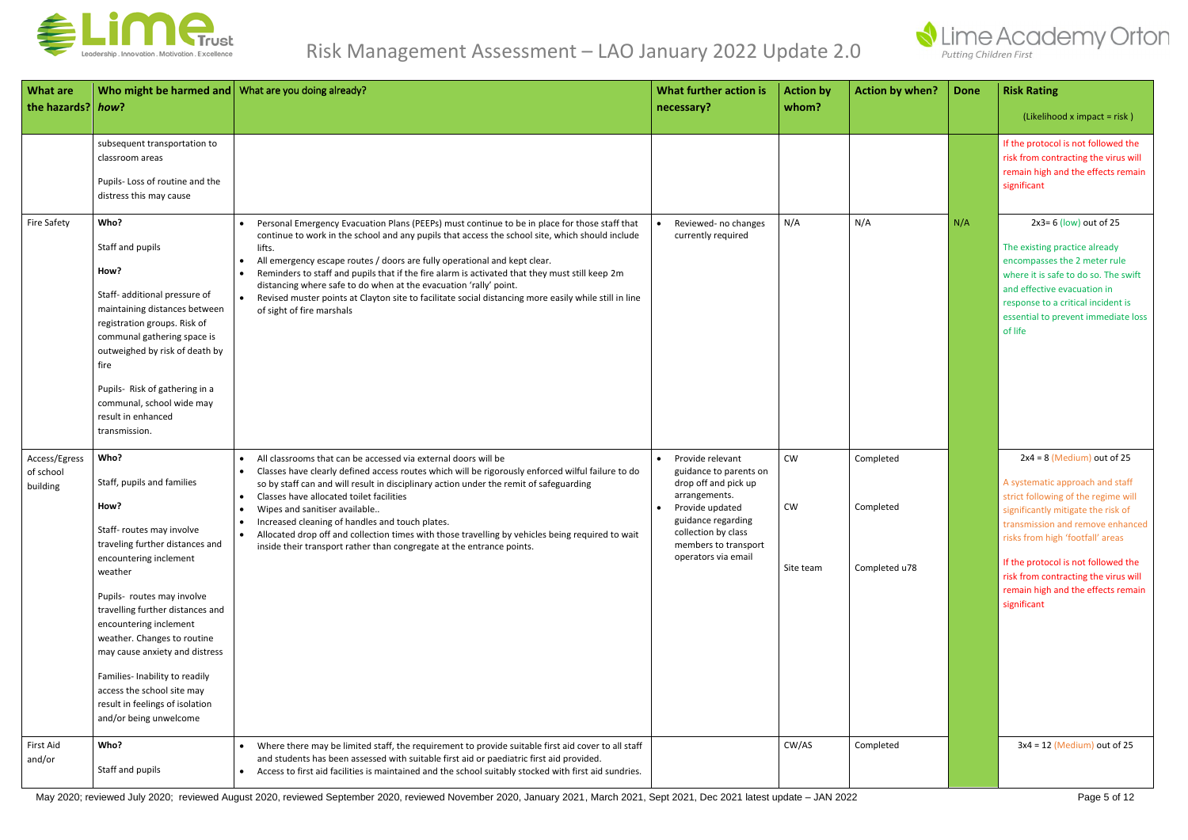

| <b>What are</b><br>the hazards? how?   | Who might be harmed and What are you doing already?                                                                                                                                                                                                                                                                                                                                                                                       |                                                                                                                                                                                                                                                                                                                                                                                                                                                                                                                                                                                                                                               | What further action is<br>necessary?                                                                                                                                                                            | <b>Action by</b><br>whom?    | <b>Action by when?</b>                  | <b>Done</b> | <b>Risk Rating</b><br>$(Likelihood x impact = risk)$                                                                                                                                                                                                                                                                                                     |
|----------------------------------------|-------------------------------------------------------------------------------------------------------------------------------------------------------------------------------------------------------------------------------------------------------------------------------------------------------------------------------------------------------------------------------------------------------------------------------------------|-----------------------------------------------------------------------------------------------------------------------------------------------------------------------------------------------------------------------------------------------------------------------------------------------------------------------------------------------------------------------------------------------------------------------------------------------------------------------------------------------------------------------------------------------------------------------------------------------------------------------------------------------|-----------------------------------------------------------------------------------------------------------------------------------------------------------------------------------------------------------------|------------------------------|-----------------------------------------|-------------|----------------------------------------------------------------------------------------------------------------------------------------------------------------------------------------------------------------------------------------------------------------------------------------------------------------------------------------------------------|
|                                        | subsequent transportation to<br>classroom areas<br>Pupils-Loss of routine and the<br>distress this may cause                                                                                                                                                                                                                                                                                                                              |                                                                                                                                                                                                                                                                                                                                                                                                                                                                                                                                                                                                                                               |                                                                                                                                                                                                                 |                              |                                         |             | If the protocol is not followed the<br>risk from contracting the virus will<br>remain high and the effects remain<br>significant                                                                                                                                                                                                                         |
| Fire Safety                            | Who?<br>Staff and pupils<br>How?<br>Staff- additional pressure of<br>maintaining distances between<br>registration groups. Risk of<br>communal gathering space is<br>outweighed by risk of death by<br>fire<br>Pupils- Risk of gathering in a<br>communal, school wide may<br>result in enhanced<br>transmission.                                                                                                                         | Personal Emergency Evacuation Plans (PEEPs) must continue to be in place for those staff that<br>continue to work in the school and any pupils that access the school site, which should include<br>lifts.<br>All emergency escape routes / doors are fully operational and kept clear.<br>$\bullet$<br>Reminders to staff and pupils that if the fire alarm is activated that they must still keep 2m<br>$\bullet$<br>distancing where safe to do when at the evacuation 'rally' point.<br>Revised muster points at Clayton site to facilitate social distancing more easily while still in line<br>$\bullet$<br>of sight of fire marshals   | Reviewed- no changes<br>currently required                                                                                                                                                                      | N/A                          | N/A                                     | N/A         | $2x3=6$ (low) out of 25<br>The existing practice already<br>encompasses the 2 meter rule<br>where it is safe to do so. The swift<br>and effective evacuation in<br>response to a critical incident is<br>essential to prevent immediate loss<br>of life                                                                                                  |
| Access/Egress<br>of school<br>building | Who?<br>Staff, pupils and families<br>How?<br>Staff- routes may involve<br>traveling further distances and<br>encountering inclement<br>weather<br>Pupils- routes may involve<br>travelling further distances and<br>encountering inclement<br>weather. Changes to routine<br>may cause anxiety and distress<br>Families- Inability to readily<br>access the school site may<br>result in feelings of isolation<br>and/or being unwelcome | All classrooms that can be accessed via external doors will be<br>$\bullet$<br>Classes have clearly defined access routes which will be rigorously enforced wilful failure to do<br>$\bullet$<br>so by staff can and will result in disciplinary action under the remit of safeguarding<br>Classes have allocated toilet facilities<br>$\bullet$<br>Wipes and sanitiser available<br>$\bullet$<br>Increased cleaning of handles and touch plates.<br>$\bullet$<br>. Allocated drop off and collection times with those travelling by vehicles being required to wait<br>inside their transport rather than congregate at the entrance points. | Provide relevant<br>$\bullet$<br>guidance to parents on<br>drop off and pick up<br>arrangements.<br>Provide updated<br>guidance regarding<br>collection by class<br>members to transport<br>operators via email | CW<br><b>CW</b><br>Site team | Completed<br>Completed<br>Completed u78 |             | $2x4 = 8$ (Medium) out of 25<br>A systematic approach and staff<br>strict following of the regime will<br>significantly mitigate the risk of<br>transmission and remove enhanced<br>risks from high 'footfall' areas<br>If the protocol is not followed the<br>risk from contracting the virus will<br>remain high and the effects remain<br>significant |
| First Aid<br>and/or                    | Who?<br>Staff and pupils                                                                                                                                                                                                                                                                                                                                                                                                                  | Where there may be limited staff, the requirement to provide suitable first aid cover to all staff<br>and students has been assessed with suitable first aid or paediatric first aid provided.<br>Access to first aid facilities is maintained and the school suitably stocked with first aid sundries.<br>$\bullet$                                                                                                                                                                                                                                                                                                                          |                                                                                                                                                                                                                 | CW/AS                        | Completed                               |             | $3x4 = 12$ (Medium) out of 25                                                                                                                                                                                                                                                                                                                            |

May 2020; reviewed July 2020; reviewed August 2020, reviewed September 2020, reviewed November 2020, January 2021, March 2021, Sept 2021, Dec 2021 latest update - JAN 2022 Page 5 of 12

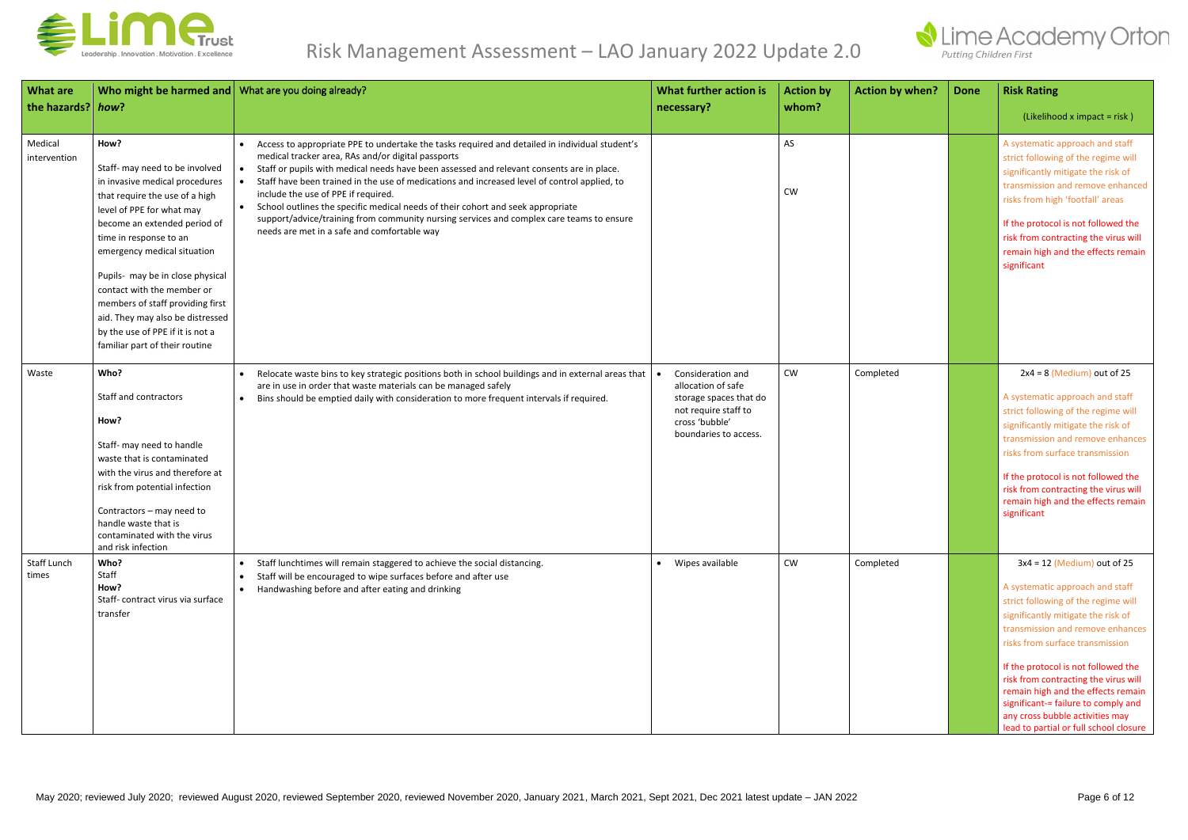

| <b>What are</b><br>the hazards? how? | Who might be harmed and What are you doing already?                                                                                                                                                                                                                                                                                                                                                                                              |                                                                                                                                                                                                                                                                                                                                                                                                                                                                                                                                                                                                                                     | What further action is<br>necessary?                                                                                                 | <b>Action by</b><br>whom? | <b>Action by when?</b> | <b>Done</b> | <b>Risk Rating</b><br>(Likelihood x impact = risk)                                                                                                                                                                                                                                                                                                                                                                                                            |
|--------------------------------------|--------------------------------------------------------------------------------------------------------------------------------------------------------------------------------------------------------------------------------------------------------------------------------------------------------------------------------------------------------------------------------------------------------------------------------------------------|-------------------------------------------------------------------------------------------------------------------------------------------------------------------------------------------------------------------------------------------------------------------------------------------------------------------------------------------------------------------------------------------------------------------------------------------------------------------------------------------------------------------------------------------------------------------------------------------------------------------------------------|--------------------------------------------------------------------------------------------------------------------------------------|---------------------------|------------------------|-------------|---------------------------------------------------------------------------------------------------------------------------------------------------------------------------------------------------------------------------------------------------------------------------------------------------------------------------------------------------------------------------------------------------------------------------------------------------------------|
| Medical<br>intervention              | How?<br>Staff- may need to be involved<br>in invasive medical procedures<br>that require the use of a high<br>level of PPE for what may<br>become an extended period of<br>time in response to an<br>emergency medical situation<br>Pupils- may be in close physical<br>contact with the member or<br>members of staff providing first<br>aid. They may also be distressed<br>by the use of PPE if it is not a<br>familiar part of their routine | Access to appropriate PPE to undertake the tasks required and detailed in individual student's<br>medical tracker area, RAs and/or digital passports<br>Staff or pupils with medical needs have been assessed and relevant consents are in place.<br>Staff have been trained in the use of medications and increased level of control applied, to<br>include the use of PPE if required.<br>School outlines the specific medical needs of their cohort and seek appropriate<br>$\bullet$<br>support/advice/training from community nursing services and complex care teams to ensure<br>needs are met in a safe and comfortable way |                                                                                                                                      | AS<br><b>CW</b>           |                        |             | A systematic approach and staff<br>strict following of the regime will<br>significantly mitigate the risk of<br>transmission and remove enhanced<br>risks from high 'footfall' areas<br>If the protocol is not followed the<br>risk from contracting the virus will<br>remain high and the effects remain<br>significant                                                                                                                                      |
| Waste                                | Who?<br>Staff and contractors<br>How?<br>Staff- may need to handle<br>waste that is contaminated<br>with the virus and therefore at<br>risk from potential infection<br>Contractors - may need to<br>handle waste that is<br>contaminated with the virus<br>and risk infection                                                                                                                                                                   | Relocate waste bins to key strategic positions both in school buildings and in external areas that<br>are in use in order that waste materials can be managed safely<br>Bins should be emptied daily with consideration to more frequent intervals if required.<br>$\bullet$                                                                                                                                                                                                                                                                                                                                                        | Consideration and<br>allocation of safe<br>storage spaces that do<br>not require staff to<br>cross 'bubble'<br>boundaries to access. | <b>CW</b>                 | Completed              |             | $2x4 = 8$ (Medium) out of 25<br>A systematic approach and staff<br>strict following of the regime will<br>significantly mitigate the risk of<br>transmission and remove enhances<br>risks from surface transmission<br>If the protocol is not followed the<br>risk from contracting the virus will<br>remain high and the effects remain<br>significant                                                                                                       |
| Staff Lunch<br>times                 | Who?<br>Staff<br>How?<br>Staff-contract virus via surface<br>transfer                                                                                                                                                                                                                                                                                                                                                                            | Staff lunchtimes will remain staggered to achieve the social distancing.<br>$\bullet$<br>Staff will be encouraged to wipe surfaces before and after use<br>$\bullet$<br>Handwashing before and after eating and drinking<br>$\bullet$                                                                                                                                                                                                                                                                                                                                                                                               | • Wipes available                                                                                                                    | <b>CW</b>                 | Completed              |             | $3x4 = 12$ (Medium) out of 25<br>A systematic approach and staff<br>strict following of the regime will<br>significantly mitigate the risk of<br>transmission and remove enhances<br>risks from surface transmission<br>If the protocol is not followed the<br>risk from contracting the virus will<br>remain high and the effects remain<br>significant-= failure to comply and<br>any cross bubble activities may<br>lead to partial or full school closure |

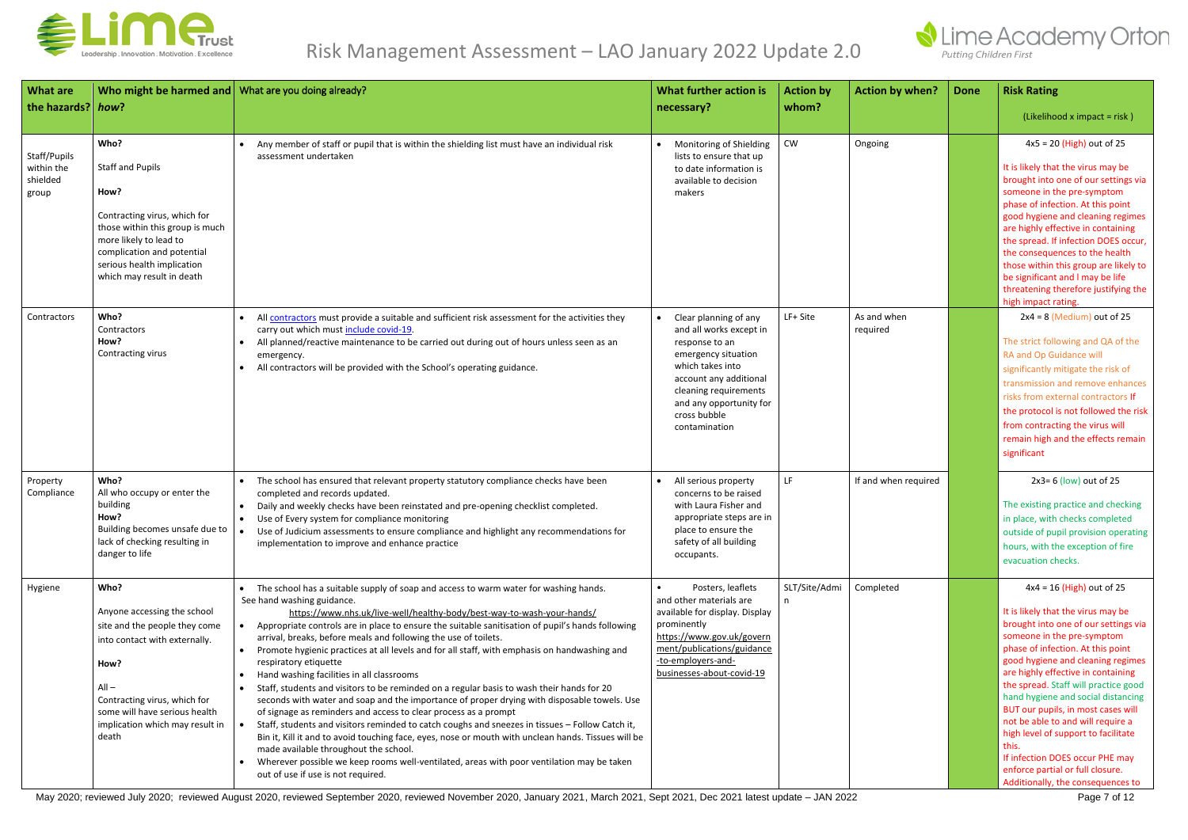

| <b>What are</b><br>the hazards? how?            | Who might be harmed and   What are you doing already?                                                                                                                                                                                 |                                                                                                                                                                                                                                                                                                                                                                                                                                                                                                                                                                                                                                                                                                                                                                                                                                                                                                                                                                                                                                                                                                                                                                                                             | What further action is<br>necessary?                                                                                                                                                                                                      | <b>Action by</b><br>whom? | <b>Action by when?</b>  | <b>Done</b> | <b>Risk Rating</b><br>(Likelihood x impact = risk)                                                                                                                                                                                                                                                                                                                                                                                                                                                                                                                           |
|-------------------------------------------------|---------------------------------------------------------------------------------------------------------------------------------------------------------------------------------------------------------------------------------------|-------------------------------------------------------------------------------------------------------------------------------------------------------------------------------------------------------------------------------------------------------------------------------------------------------------------------------------------------------------------------------------------------------------------------------------------------------------------------------------------------------------------------------------------------------------------------------------------------------------------------------------------------------------------------------------------------------------------------------------------------------------------------------------------------------------------------------------------------------------------------------------------------------------------------------------------------------------------------------------------------------------------------------------------------------------------------------------------------------------------------------------------------------------------------------------------------------------|-------------------------------------------------------------------------------------------------------------------------------------------------------------------------------------------------------------------------------------------|---------------------------|-------------------------|-------------|------------------------------------------------------------------------------------------------------------------------------------------------------------------------------------------------------------------------------------------------------------------------------------------------------------------------------------------------------------------------------------------------------------------------------------------------------------------------------------------------------------------------------------------------------------------------------|
| Staff/Pupils<br>within the<br>shielded<br>group | Who?<br><b>Staff and Pupils</b><br>How?<br>Contracting virus, which for<br>those within this group is much<br>more likely to lead to<br>complication and potential<br>serious health implication<br>which may result in death         | Any member of staff or pupil that is within the shielding list must have an individual risk<br>assessment undertaken                                                                                                                                                                                                                                                                                                                                                                                                                                                                                                                                                                                                                                                                                                                                                                                                                                                                                                                                                                                                                                                                                        | • Monitoring of Shielding<br>lists to ensure that up<br>to date information is<br>available to decision<br>makers                                                                                                                         | CW                        | Ongoing                 |             | $4x5 = 20$ (High) out of 25<br>It is likely that the virus may be<br>brought into one of our settings via<br>someone in the pre-symptom<br>phase of infection. At this point<br>good hygiene and cleaning regimes<br>are highly effective in containing<br>the spread. If infection DOES occur,<br>the consequences to the health<br>those within this group are likely to<br>be significant and I may be life<br>threatening therefore justifying the<br>high impact rating.                                                                                                |
| Contractors                                     | Who?<br>Contractors<br>How?<br>Contracting virus                                                                                                                                                                                      | All contractors must provide a suitable and sufficient risk assessment for the activities they<br>carry out which must include covid-19.<br>All planned/reactive maintenance to be carried out during out of hours unless seen as an<br>emergency.<br>All contractors will be provided with the School's operating guidance.                                                                                                                                                                                                                                                                                                                                                                                                                                                                                                                                                                                                                                                                                                                                                                                                                                                                                | Clear planning of any<br>$\bullet$<br>and all works except in<br>response to an<br>emergency situation<br>which takes into<br>account any additional<br>cleaning requirements<br>and any opportunity for<br>cross bubble<br>contamination | LF+ Site                  | As and when<br>required |             | $2x4 = 8$ (Medium) out of 25<br>The strict following and QA of the<br>RA and Op Guidance will<br>significantly mitigate the risk of<br>transmission and remove enhances<br>risks from external contractors If<br>the protocol is not followed the risk<br>from contracting the virus will<br>remain high and the effects remain<br>significant                                                                                                                                                                                                                               |
| Property<br>Compliance                          | Who?<br>All who occupy or enter the<br>building<br>How?<br>Building becomes unsafe due to $\vert \bullet \vert$<br>lack of checking resulting in<br>danger to life                                                                    | The school has ensured that relevant property statutory compliance checks have been<br>completed and records updated.<br>Daily and weekly checks have been reinstated and pre-opening checklist completed.<br>$\bullet$<br>Use of Every system for compliance monitoring<br>$\bullet$<br>Use of Judicium assessments to ensure compliance and highlight any recommendations for<br>implementation to improve and enhance practice                                                                                                                                                                                                                                                                                                                                                                                                                                                                                                                                                                                                                                                                                                                                                                           | All serious property<br>concerns to be raised<br>with Laura Fisher and<br>appropriate steps are in<br>place to ensure the<br>safety of all building<br>occupants.                                                                         | LF                        | If and when required    |             | $2x3=6$ (low) out of 25<br>The existing practice and checking<br>in place, with checks completed<br>outside of pupil provision operating<br>hours, with the exception of fire<br>evacuation checks.                                                                                                                                                                                                                                                                                                                                                                          |
| Hygiene                                         | Who?<br>Anyone accessing the school<br>site and the people they come<br>into contact with externally.<br>How?<br>$All -$<br>Contracting virus, which for<br>some will have serious health<br>implication which may result in<br>death | The school has a suitable supply of soap and access to warm water for washing hands.<br>See hand washing guidance.<br>https://www.nhs.uk/live-well/healthy-body/best-way-to-wash-your-hands/<br>Appropriate controls are in place to ensure the suitable sanitisation of pupil's hands following<br>arrival, breaks, before meals and following the use of toilets.<br>Promote hygienic practices at all levels and for all staff, with emphasis on handwashing and<br>$\bullet$<br>respiratory etiquette<br>Hand washing facilities in all classrooms<br>Staff, students and visitors to be reminded on a regular basis to wash their hands for 20<br>seconds with water and soap and the importance of proper drying with disposable towels. Use<br>of signage as reminders and access to clear process as a prompt<br>Staff, students and visitors reminded to catch coughs and sneezes in tissues - Follow Catch it,<br>Bin it, Kill it and to avoid touching face, eyes, nose or mouth with unclean hands. Tissues will be<br>made available throughout the school.<br>Wherever possible we keep rooms well-ventilated, areas with poor ventilation may be taken<br>out of use if use is not required. | Posters, leaflets<br>and other materials are<br>available for display. Display<br>prominently<br>https://www.gov.uk/govern<br>ment/publications/guidance<br>-to-employers-and-<br>businesses-about-covid-19                               | SLT/Site/Admi             | Completed               |             | $4x4 = 16$ (High) out of 25<br>It is likely that the virus may be<br>brought into one of our settings via<br>someone in the pre-symptom<br>phase of infection. At this point<br>good hygiene and cleaning regimes<br>are highly effective in containing<br>the spread. Staff will practice good<br>hand hygiene and social distancing<br>BUT our pupils, in most cases will<br>not be able to and will require a<br>high level of support to facilitate<br>this.<br>If infection DOES occur PHE may<br>enforce partial or full closure.<br>Additionally, the consequences to |

May 2020; reviewed July 2020; reviewed August 2020, reviewed September 2020, reviewed November 2020, January 2021, March 2021, Sept 2021, Dec 2021 latest update – JAN 2022 Page 7 of 12

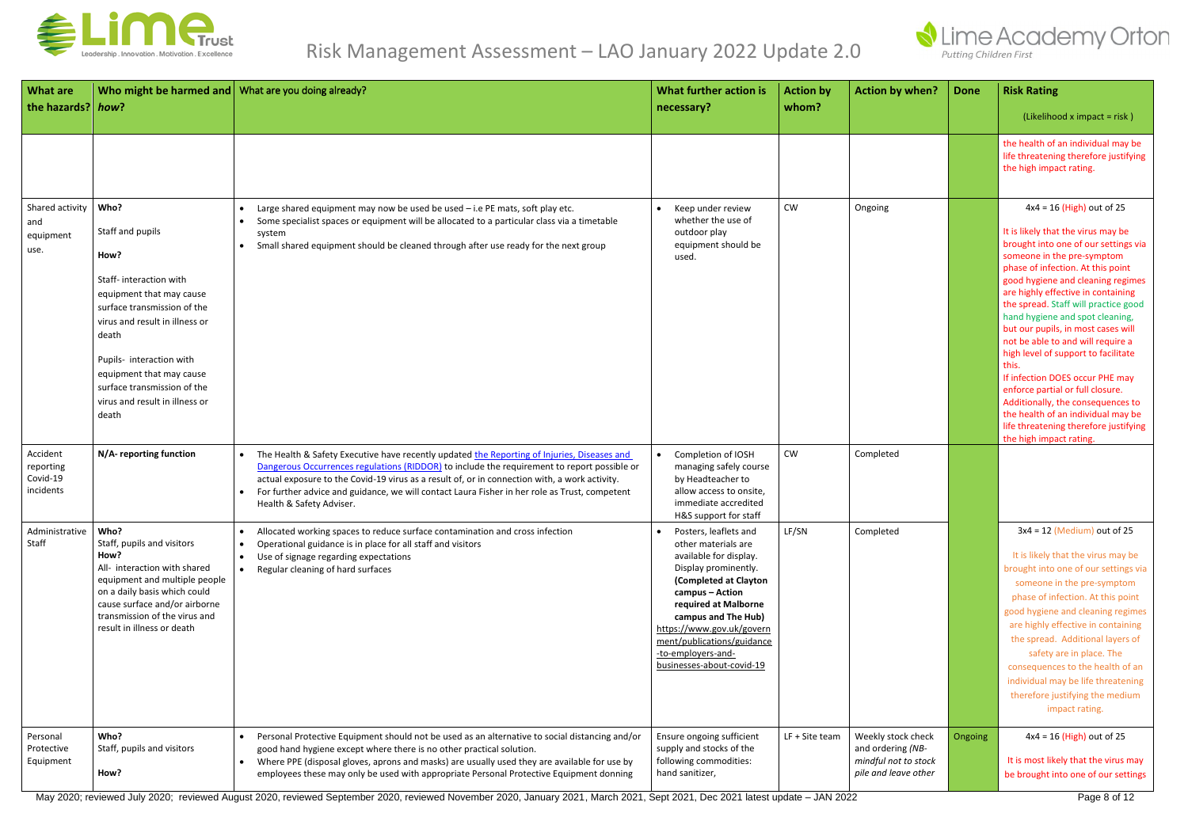

| <b>What are</b><br>the hazards? how?           | Who might be harmed and What are you doing already?                                                                                                                                                                                                                                                |                                                                                                                                                                                                                                                                                                                                                                                                                                                    | What further action is<br>necessary?                                                                                                                                                                                                                                                                    | <b>Action by</b><br>whom? | <b>Action by when?</b>                                                                  | <b>Done</b> | <b>Risk Rating</b><br>(Likelihood x impact = risk)                                                                                                                                                                                                                                                                                                                                                                                                                                                                                                                                                                                                                                  |
|------------------------------------------------|----------------------------------------------------------------------------------------------------------------------------------------------------------------------------------------------------------------------------------------------------------------------------------------------------|----------------------------------------------------------------------------------------------------------------------------------------------------------------------------------------------------------------------------------------------------------------------------------------------------------------------------------------------------------------------------------------------------------------------------------------------------|---------------------------------------------------------------------------------------------------------------------------------------------------------------------------------------------------------------------------------------------------------------------------------------------------------|---------------------------|-----------------------------------------------------------------------------------------|-------------|-------------------------------------------------------------------------------------------------------------------------------------------------------------------------------------------------------------------------------------------------------------------------------------------------------------------------------------------------------------------------------------------------------------------------------------------------------------------------------------------------------------------------------------------------------------------------------------------------------------------------------------------------------------------------------------|
|                                                |                                                                                                                                                                                                                                                                                                    |                                                                                                                                                                                                                                                                                                                                                                                                                                                    |                                                                                                                                                                                                                                                                                                         |                           |                                                                                         |             | the health of an individual may be<br>life threatening therefore justifying<br>the high impact rating.                                                                                                                                                                                                                                                                                                                                                                                                                                                                                                                                                                              |
| Shared activity<br>and<br>equipment<br>use.    | Who?<br>Staff and pupils<br>How?<br>Staff-interaction with<br>equipment that may cause<br>surface transmission of the<br>virus and result in illness or<br>death<br>Pupils- interaction with<br>equipment that may cause<br>surface transmission of the<br>virus and result in illness or<br>death | Large shared equipment may now be used be used - i.e PE mats, soft play etc.<br>Some specialist spaces or equipment will be allocated to a particular class via a timetable<br>$\bullet$<br>system<br>Small shared equipment should be cleaned through after use ready for the next group                                                                                                                                                          | Keep under review<br>whether the use of<br>outdoor play<br>equipment should be<br>used.                                                                                                                                                                                                                 | <b>CW</b>                 | Ongoing                                                                                 |             | $4x4 = 16$ (High) out of 25<br>It is likely that the virus may be<br>brought into one of our settings via<br>someone in the pre-symptom<br>phase of infection. At this point<br>good hygiene and cleaning regimes<br>are highly effective in containing<br>the spread. Staff will practice good<br>hand hygiene and spot cleaning,<br>but our pupils, in most cases will<br>not be able to and will require a<br>high level of support to facilitate<br>this.<br>If infection DOES occur PHE may<br>enforce partial or full closure.<br>Additionally, the consequences to<br>the health of an individual may be<br>life threatening therefore justifying<br>the high impact rating. |
| Accident<br>reporting<br>Covid-19<br>incidents | N/A- reporting function                                                                                                                                                                                                                                                                            | The Health & Safety Executive have recently updated the Reporting of Injuries, Diseases and<br>$\bullet$<br>Dangerous Occurrences regulations (RIDDOR) to include the requirement to report possible or<br>actual exposure to the Covid-19 virus as a result of, or in connection with, a work activity.<br>For further advice and guidance, we will contact Laura Fisher in her role as Trust, competent<br>$\bullet$<br>Health & Safety Adviser. | Completion of IOSH<br>managing safely course<br>by Headteacher to<br>allow access to onsite,<br>immediate accredited<br>H&S support for staff                                                                                                                                                           | <b>CW</b>                 | Completed                                                                               |             |                                                                                                                                                                                                                                                                                                                                                                                                                                                                                                                                                                                                                                                                                     |
| Administrative<br>Staff                        | Who?<br>Staff, pupils and visitors<br>How?<br>All- interaction with shared<br>equipment and multiple people<br>on a daily basis which could<br>cause surface and/or airborne<br>transmission of the virus and<br>result in illness or death                                                        | Allocated working spaces to reduce surface contamination and cross infection<br>$\bullet$<br>Operational guidance is in place for all staff and visitors<br>$\bullet$<br>Use of signage regarding expectations<br>$\bullet$<br>Regular cleaning of hard surfaces<br>$\bullet$                                                                                                                                                                      | Posters, leaflets and<br>other materials are<br>available for display.<br>Display prominently.<br>(Completed at Clayton<br>campus - Action<br>required at Malborne<br>campus and The Hub)<br>https://www.gov.uk/govern<br>ment/publications/guidance<br>-to-employers-and-<br>businesses-about-covid-19 | LF/SN                     | Completed                                                                               |             | $3x4 = 12$ (Medium) out of 25<br>It is likely that the virus may be<br>brought into one of our settings via<br>someone in the pre-symptom<br>phase of infection. At this point<br>good hygiene and cleaning regimes<br>are highly effective in containing<br>the spread. Additional layers of<br>safety are in place. The<br>consequences to the health of an<br>individual may be life threatening<br>therefore justifying the medium<br>impact rating.                                                                                                                                                                                                                            |
| Personal<br>Protective<br>Equipment            | Who?<br>Staff, pupils and visitors<br>How?                                                                                                                                                                                                                                                         | Personal Protective Equipment should not be used as an alternative to social distancing and/or<br>$\bullet$<br>good hand hygiene except where there is no other practical solution.<br>Where PPE (disposal gloves, aprons and masks) are usually used they are available for use by<br>$\bullet$<br>employees these may only be used with appropriate Personal Protective Equipment donning                                                        | Ensure ongoing sufficient<br>supply and stocks of the<br>following commodities:<br>hand sanitizer,                                                                                                                                                                                                      | LF + Site team            | Weekly stock check<br>and ordering (NB-<br>mindful not to stock<br>pile and leave other | Ongoing     | $4x4 = 16$ (High) out of 25<br>It is most likely that the virus may<br>be brought into one of our settings                                                                                                                                                                                                                                                                                                                                                                                                                                                                                                                                                                          |

May 2020; reviewed July 2020; reviewed August 2020, reviewed September 2020, reviewed November 2020, January 2021, March 2021, Sept 2021, Dec 2021 latest update – JAN 2022 Page 8 of 12

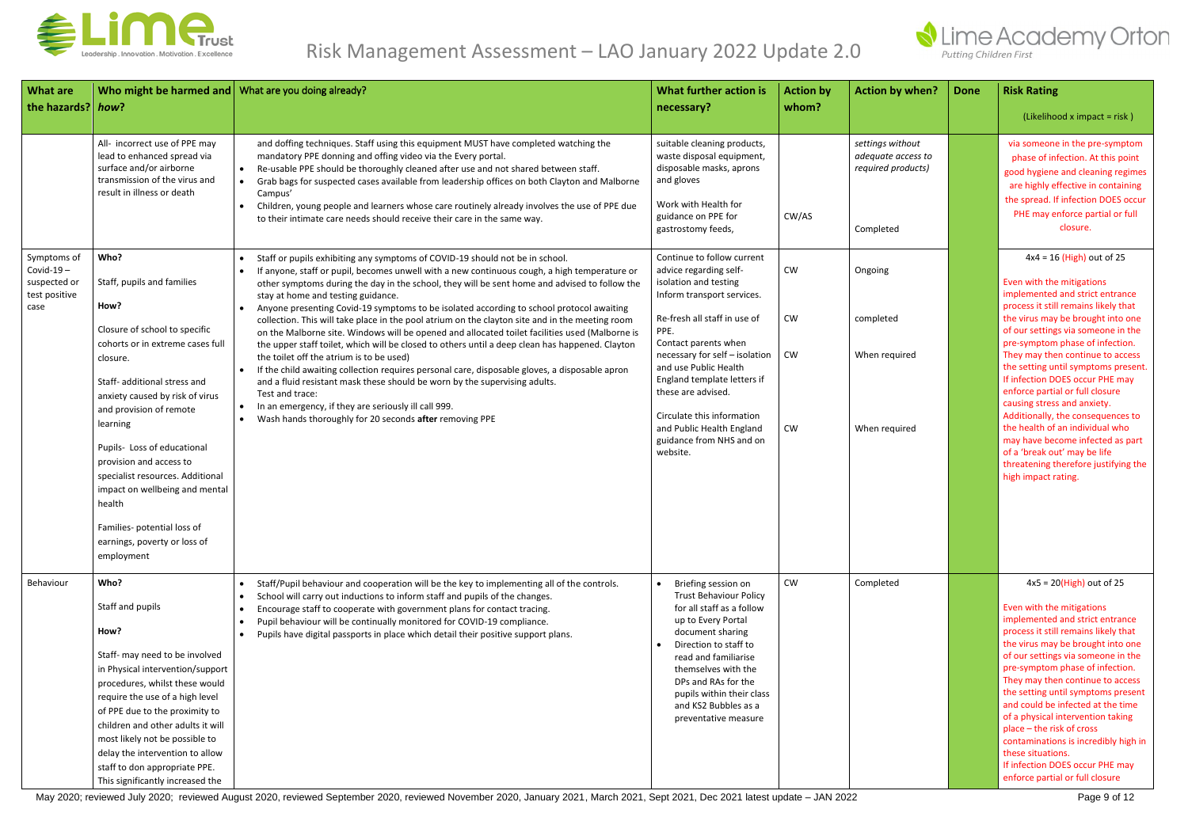

| <b>What are</b><br>the hazards? how?                                | Who might be harmed and What are you doing already?                                                                                                                                                                                                                                                                                                      |                                                                                                                                                                                                                                                                                                                                                                                                                                                                                                                                                           | What further action is<br>necessary?                                                                                                                                    | <b>Action by</b><br>whom? | <b>Action by when?</b>                                                    | <b>Done</b> | <b>Risk Rating</b>                                                                                                                                                                                                                                                                                                                                                                        |  |                                                                                                                                                                    |
|---------------------------------------------------------------------|----------------------------------------------------------------------------------------------------------------------------------------------------------------------------------------------------------------------------------------------------------------------------------------------------------------------------------------------------------|-----------------------------------------------------------------------------------------------------------------------------------------------------------------------------------------------------------------------------------------------------------------------------------------------------------------------------------------------------------------------------------------------------------------------------------------------------------------------------------------------------------------------------------------------------------|-------------------------------------------------------------------------------------------------------------------------------------------------------------------------|---------------------------|---------------------------------------------------------------------------|-------------|-------------------------------------------------------------------------------------------------------------------------------------------------------------------------------------------------------------------------------------------------------------------------------------------------------------------------------------------------------------------------------------------|--|--------------------------------------------------------------------------------------------------------------------------------------------------------------------|
|                                                                     |                                                                                                                                                                                                                                                                                                                                                          |                                                                                                                                                                                                                                                                                                                                                                                                                                                                                                                                                           |                                                                                                                                                                         |                           |                                                                           |             | (Likelihood x impact = risk)                                                                                                                                                                                                                                                                                                                                                              |  |                                                                                                                                                                    |
|                                                                     | All- incorrect use of PPE may<br>lead to enhanced spread via<br>surface and/or airborne<br>transmission of the virus and<br>result in illness or death                                                                                                                                                                                                   | and doffing techniques. Staff using this equipment MUST have completed watching the<br>mandatory PPE donning and offing video via the Every portal.<br>Re-usable PPE should be thoroughly cleaned after use and not shared between staff.<br>$\bullet$<br>Grab bags for suspected cases available from leadership offices on both Clayton and Malborne<br>Campus'<br>Children, young people and learners whose care routinely already involves the use of PPE due<br>$\bullet$<br>to their intimate care needs should receive their care in the same way. | suitable cleaning products,<br>waste disposal equipment,<br>disposable masks, aprons<br>and gloves<br>Work with Health for<br>guidance on PPE for<br>gastrostomy feeds, | CW/AS                     | settings without<br>adequate access to<br>required products)<br>Completed |             | via someone in the pre-symptom<br>phase of infection. At this point<br>good hygiene and cleaning regimes<br>are highly effective in containing<br>the spread. If infection DOES occur<br>PHE may enforce partial or full<br>closure.                                                                                                                                                      |  |                                                                                                                                                                    |
| Symptoms of<br>$Covid-19-$<br>suspected or<br>test positive<br>case | Who?<br>Staff, pupils and families<br>How?<br>Closure of school to specific                                                                                                                                                                                                                                                                              | Staff or pupils exhibiting any symptoms of COVID-19 should not be in school.<br>If anyone, staff or pupil, becomes unwell with a new continuous cough, a high temperature or<br>other symptoms during the day in the school, they will be sent home and advised to follow the<br>stay at home and testing guidance.<br>Anyone presenting Covid-19 symptoms to be isolated according to school protocol awaiting<br>collection. This will take place in the pool atrium on the clayton site and in the meeting room                                        | Continue to follow current<br>advice regarding self-<br>isolation and testing<br>Inform transport services.<br>Re-fresh all staff in use of<br>PPE.                     | <b>CW</b><br>CW           | Ongoing<br>completed                                                      |             | $4x4 = 16$ (High) out of 25<br>Even with the mitigations<br>implemented and strict entrance<br>process it still remains likely that<br>the virus may be brought into one                                                                                                                                                                                                                  |  |                                                                                                                                                                    |
|                                                                     | cohorts or in extreme cases full<br>closure.<br>Staff- additional stress and<br>anxiety caused by risk of virus<br>and provision of remote                                                                                                                                                                                                               | on the Malborne site. Windows will be opened and allocated toilet facilities used (Malborne is<br>the upper staff toilet, which will be closed to others until a deep clean has happened. Clayton<br>the toilet off the atrium is to be used)<br>If the child awaiting collection requires personal care, disposable gloves, a disposable apron<br>$\bullet$<br>and a fluid resistant mask these should be worn by the supervising adults.<br>Test and trace:<br>In an emergency, if they are seriously ill call 999.<br>$\bullet$                        | Contact parents when<br>necessary for self - isolation<br>and use Public Health<br>England template letters if<br>these are advised.<br>Circulate this information      | <b>CW</b>                 | When required                                                             |             | of our settings via someone in the<br>pre-symptom phase of infection.<br>They may then continue to access<br>the setting until symptoms present.<br>If infection DOES occur PHE may<br>enforce partial or full closure<br>causing stress and anxiety.<br>Additionally, the consequences to                                                                                                |  |                                                                                                                                                                    |
|                                                                     | learning<br>Pupils- Loss of educational<br>provision and access to<br>specialist resources. Additional<br>impact on wellbeing and mental<br>health                                                                                                                                                                                                       | Wash hands thoroughly for 20 seconds after removing PPE                                                                                                                                                                                                                                                                                                                                                                                                                                                                                                   | and Public Health England<br>guidance from NHS and on<br>website.                                                                                                       |                           |                                                                           | <b>CW</b>   | When required                                                                                                                                                                                                                                                                                                                                                                             |  | the health of an individual who<br>may have become infected as part<br>of a 'break out' may be life<br>threatening therefore justifying the<br>high impact rating. |
|                                                                     | Families- potential loss of<br>earnings, poverty or loss of<br>employment                                                                                                                                                                                                                                                                                |                                                                                                                                                                                                                                                                                                                                                                                                                                                                                                                                                           |                                                                                                                                                                         |                           |                                                                           |             |                                                                                                                                                                                                                                                                                                                                                                                           |  |                                                                                                                                                                    |
| Behaviour                                                           | Who?<br>Staff and pupils<br>How?                                                                                                                                                                                                                                                                                                                         | Staff/Pupil behaviour and cooperation will be the key to implementing all of the controls.<br>$\bullet$<br>School will carry out inductions to inform staff and pupils of the changes.<br>$\bullet$<br>Encourage staff to cooperate with government plans for contact tracing.<br>$\bullet$<br>Pupil behaviour will be continually monitored for COVID-19 compliance.<br>$\bullet$<br>Pupils have digital passports in place which detail their positive support plans.<br>$\bullet$                                                                      | Briefing session on<br><b>Trust Behaviour Policy</b><br>for all staff as a follow<br>up to Every Portal<br>document sharing<br>Direction to staff to                    | <b>CW</b>                 | Completed                                                                 |             | $4x5 = 20$ (High) out of 25<br>Even with the mitigations<br>implemented and strict entrance<br>process it still remains likely that<br>the virus may be brought into one                                                                                                                                                                                                                  |  |                                                                                                                                                                    |
|                                                                     | Staff- may need to be involved<br>in Physical intervention/support<br>procedures, whilst these would<br>require the use of a high level<br>of PPE due to the proximity to<br>children and other adults it will<br>most likely not be possible to<br>delay the intervention to allow<br>staff to don appropriate PPE.<br>This significantly increased the |                                                                                                                                                                                                                                                                                                                                                                                                                                                                                                                                                           | read and familiarise<br>themselves with the<br>DPs and RAs for the<br>pupils within their class<br>and KS2 Bubbles as a<br>preventative measure                         |                           |                                                                           |             | of our settings via someone in the<br>pre-symptom phase of infection.<br>They may then continue to access<br>the setting until symptoms present<br>and could be infected at the time<br>of a physical intervention taking<br>place - the risk of cross<br>contaminations is incredibly high in<br>these situations.<br>If infection DOES occur PHE may<br>enforce partial or full closure |  |                                                                                                                                                                    |

May 2020; reviewed July 2020; reviewed August 2020, reviewed September 2020, reviewed November 2020, January 2021, March 2021, Sept 2021, Dec 2021 latest update – JAN 2022 Page 9 of 12

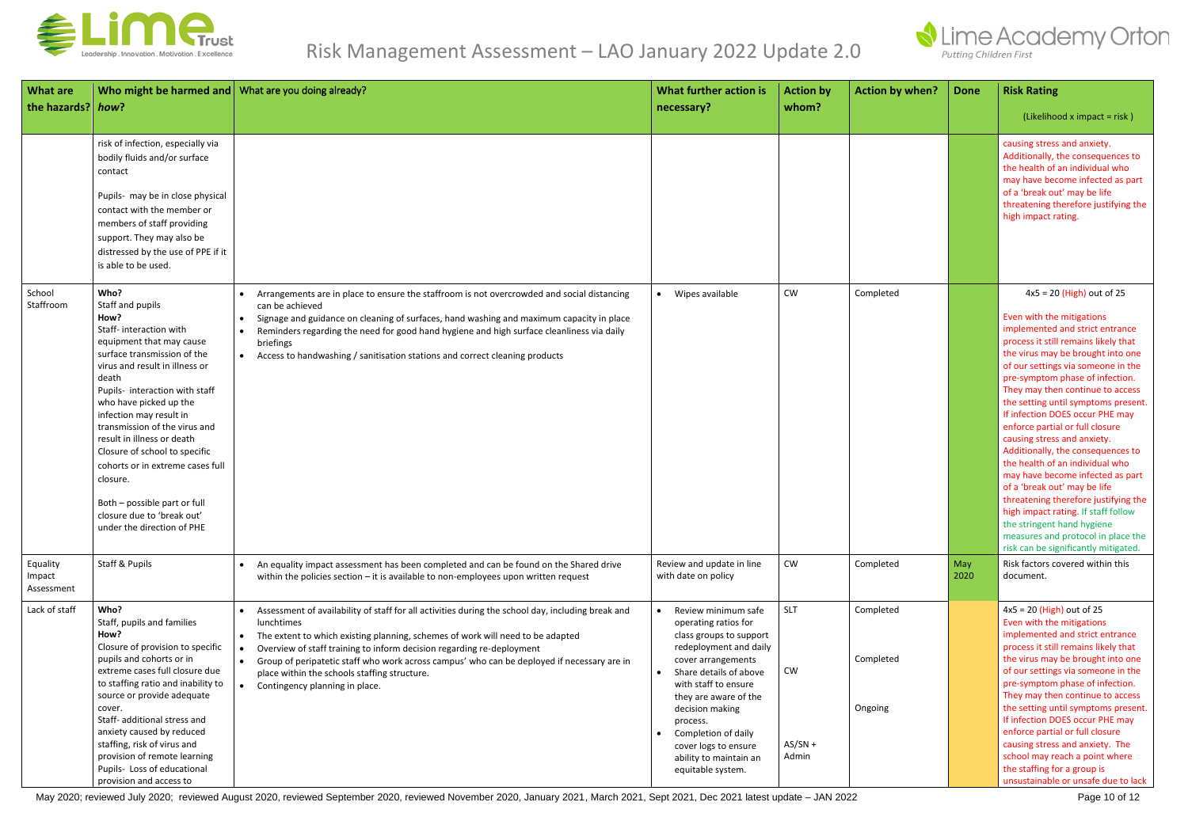

| <b>What are</b><br>the hazards? how? | Who might be harmed and What are you doing already?                                                                                                                                                                                                                                                                                                                                                                                                                                                  |                                                                                                                                                                                                                                                                                                                                                                                                                                                                                      | What further action is<br>necessary?                                                                                                                                                                                                                                                                                           | <b>Action by</b><br>whom?              | <b>Action by when?</b>            | <b>Done</b> | <b>Risk Rating</b><br>(Likelihood x impact = risk)                                                                                                                                                                                                                                                                                                                                                                                                                                                                                                                                                                                                                                                                                                                       |
|--------------------------------------|------------------------------------------------------------------------------------------------------------------------------------------------------------------------------------------------------------------------------------------------------------------------------------------------------------------------------------------------------------------------------------------------------------------------------------------------------------------------------------------------------|--------------------------------------------------------------------------------------------------------------------------------------------------------------------------------------------------------------------------------------------------------------------------------------------------------------------------------------------------------------------------------------------------------------------------------------------------------------------------------------|--------------------------------------------------------------------------------------------------------------------------------------------------------------------------------------------------------------------------------------------------------------------------------------------------------------------------------|----------------------------------------|-----------------------------------|-------------|--------------------------------------------------------------------------------------------------------------------------------------------------------------------------------------------------------------------------------------------------------------------------------------------------------------------------------------------------------------------------------------------------------------------------------------------------------------------------------------------------------------------------------------------------------------------------------------------------------------------------------------------------------------------------------------------------------------------------------------------------------------------------|
|                                      | risk of infection, especially via<br>bodily fluids and/or surface<br>contact<br>Pupils- may be in close physical<br>contact with the member or<br>members of staff providing<br>support. They may also be<br>distressed by the use of PPE if it<br>is able to be used.                                                                                                                                                                                                                               |                                                                                                                                                                                                                                                                                                                                                                                                                                                                                      |                                                                                                                                                                                                                                                                                                                                |                                        |                                   |             | causing stress and anxiety.<br>Additionally, the consequences to<br>the health of an individual who<br>may have become infected as part<br>of a 'break out' may be life<br>threatening therefore justifying the<br>high impact rating.                                                                                                                                                                                                                                                                                                                                                                                                                                                                                                                                   |
| School<br>Staffroom                  | Who?<br>Staff and pupils<br>How?<br>Staff- interaction with<br>equipment that may cause<br>surface transmission of the<br>virus and result in illness or<br>death<br>Pupils- interaction with staff<br>who have picked up the<br>infection may result in<br>transmission of the virus and<br>result in illness or death<br>Closure of school to specific<br>cohorts or in extreme cases full<br>closure.<br>Both - possible part or full<br>closure due to 'break out'<br>under the direction of PHE | Arrangements are in place to ensure the staffroom is not overcrowded and social distancing<br>can be achieved<br>Signage and guidance on cleaning of surfaces, hand washing and maximum capacity in place<br>$\bullet$<br>Reminders regarding the need for good hand hygiene and high surface cleanliness via daily<br>briefings<br>Access to handwashing / sanitisation stations and correct cleaning products                                                                      | Wipes available                                                                                                                                                                                                                                                                                                                | CW                                     | Completed                         |             | $4x5 = 20$ (High) out of 25<br>Even with the mitigations<br>implemented and strict entrance<br>process it still remains likely that<br>the virus may be brought into one<br>of our settings via someone in the<br>pre-symptom phase of infection.<br>They may then continue to access<br>the setting until symptoms present.<br>If infection DOES occur PHE may<br>enforce partial or full closure<br>causing stress and anxiety.<br>Additionally, the consequences to<br>the health of an individual who<br>may have become infected as part<br>of a 'break out' may be life<br>threatening therefore justifying the<br>high impact rating. If staff follow<br>the stringent hand hygiene<br>measures and protocol in place the<br>risk can be significantly mitigated. |
| Equality<br>Impact<br>Assessment     | <b>Staff &amp; Pupils</b>                                                                                                                                                                                                                                                                                                                                                                                                                                                                            | An equality impact assessment has been completed and can be found on the Shared drive<br>within the policies section - it is available to non-employees upon written request                                                                                                                                                                                                                                                                                                         | Review and update in line<br>with date on policy                                                                                                                                                                                                                                                                               | CW                                     | Completed                         | May<br>2020 | Risk factors covered within this<br>document.                                                                                                                                                                                                                                                                                                                                                                                                                                                                                                                                                                                                                                                                                                                            |
| Lack of staff                        | Who?<br>Staff, pupils and families<br>How?<br>Closure of provision to specific<br>pupils and cohorts or in<br>extreme cases full closure due<br>to staffing ratio and inability to<br>source or provide adequate<br>cover.<br>Staff- additional stress and<br>anxiety caused by reduced<br>staffing, risk of virus and<br>provision of remote learning<br>Pupils- Loss of educational<br>provision and access to                                                                                     | Assessment of availability of staff for all activities during the school day, including break and<br>lunchtimes<br>The extent to which existing planning, schemes of work will need to be adapted<br>$\bullet$<br>Overview of staff training to inform decision regarding re-deployment<br>Group of peripatetic staff who work across campus' who can be deployed if necessary are in<br>$\bullet$<br>place within the schools staffing structure.<br>Contingency planning in place. | Review minimum safe<br>operating ratios for<br>class groups to support<br>redeployment and daily<br>cover arrangements<br>Share details of above<br>with staff to ensure<br>they are aware of the<br>decision making<br>process.<br>Completion of daily<br>cover logs to ensure<br>ability to maintain an<br>equitable system. | <b>SLT</b><br>CW<br>$AS/SN +$<br>Admin | Completed<br>Completed<br>Ongoing |             | $4x5 = 20$ (High) out of 25<br>Even with the mitigations<br>implemented and strict entrance<br>process it still remains likely that<br>the virus may be brought into one<br>of our settings via someone in the<br>pre-symptom phase of infection.<br>They may then continue to access<br>the setting until symptoms present.<br>If infection DOES occur PHE may<br>enforce partial or full closure<br>causing stress and anxiety. The<br>school may reach a point where<br>the staffing for a group is<br>unsustainable or unsafe due to lack                                                                                                                                                                                                                            |

May 2020; reviewed July 2020; reviewed August 2020, reviewed September 2020, reviewed November 2020, January 2021, March 2021, Sept 2021, Dec 2021 latest update - JAN 2022 Page 10 of 12

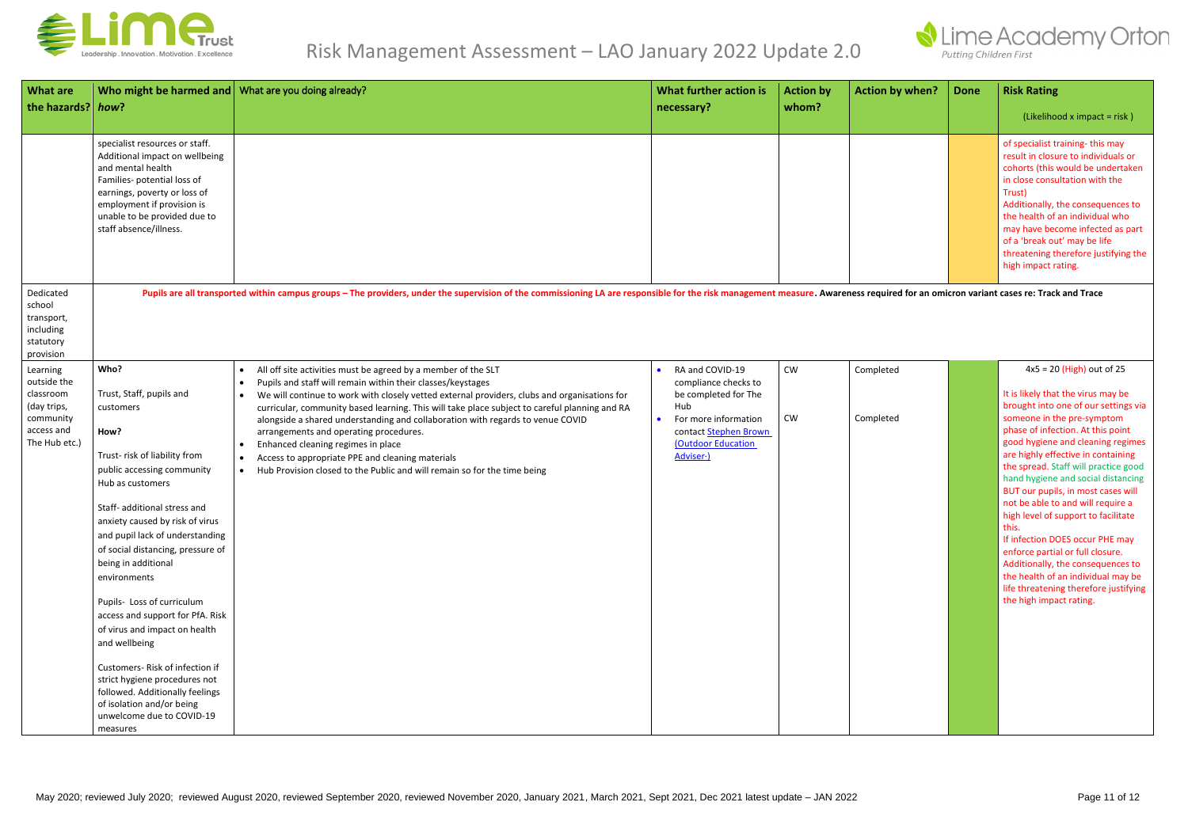

| <b>What are</b><br>the hazards? how?                                                            | Who might be harmed and   What are you doing already?                                                                                                                                                                                                                                                                                                                                                                                                                                                                                                                                                                     |                                                                                                                                                                                                                                                                                                                                                                                                                                                                                                                                                                                                                                                                                                               | What further action is<br>necessary?                                                                                                                                     | <b>Action by</b><br>whom? | <b>Action by when?</b> | <b>Done</b> | <b>Risk Rating</b><br>(Likelihood x impact = risk)                                                                                                                                                                                                                                                                                                                                                                                                                                                                                                                                                                                                                                     |
|-------------------------------------------------------------------------------------------------|---------------------------------------------------------------------------------------------------------------------------------------------------------------------------------------------------------------------------------------------------------------------------------------------------------------------------------------------------------------------------------------------------------------------------------------------------------------------------------------------------------------------------------------------------------------------------------------------------------------------------|---------------------------------------------------------------------------------------------------------------------------------------------------------------------------------------------------------------------------------------------------------------------------------------------------------------------------------------------------------------------------------------------------------------------------------------------------------------------------------------------------------------------------------------------------------------------------------------------------------------------------------------------------------------------------------------------------------------|--------------------------------------------------------------------------------------------------------------------------------------------------------------------------|---------------------------|------------------------|-------------|----------------------------------------------------------------------------------------------------------------------------------------------------------------------------------------------------------------------------------------------------------------------------------------------------------------------------------------------------------------------------------------------------------------------------------------------------------------------------------------------------------------------------------------------------------------------------------------------------------------------------------------------------------------------------------------|
|                                                                                                 | specialist resources or staff.<br>Additional impact on wellbeing<br>and mental health<br>Families- potential loss of<br>earnings, poverty or loss of<br>employment if provision is<br>unable to be provided due to<br>staff absence/illness.                                                                                                                                                                                                                                                                                                                                                                              |                                                                                                                                                                                                                                                                                                                                                                                                                                                                                                                                                                                                                                                                                                               |                                                                                                                                                                          |                           |                        |             | of specialist training-this may<br>result in closure to individuals or<br>cohorts (this would be undertaken<br>in close consultation with the<br>Trust)<br>Additionally, the consequences to<br>the health of an individual who<br>may have become infected as part<br>of a 'break out' may be life<br>threatening therefore justifying the<br>high impact rating.                                                                                                                                                                                                                                                                                                                     |
| Dedicated<br>school<br>transport,<br>including<br>statutory<br>provision                        |                                                                                                                                                                                                                                                                                                                                                                                                                                                                                                                                                                                                                           | Pupils are all transported within campus groups - The providers, under the supervision of the commissioning LA are responsible for the risk management measure. Awareness required for an omicron variant cases re: Track and                                                                                                                                                                                                                                                                                                                                                                                                                                                                                 |                                                                                                                                                                          |                           |                        |             |                                                                                                                                                                                                                                                                                                                                                                                                                                                                                                                                                                                                                                                                                        |
| Learning<br>outside the<br>classroom<br>(day trips,<br>community<br>access and<br>The Hub etc.) | Who?<br>Trust, Staff, pupils and<br>customers<br>How?<br>Trust-risk of liability from<br>public accessing community<br>Hub as customers<br>Staff- additional stress and<br>anxiety caused by risk of virus<br>and pupil lack of understanding<br>of social distancing, pressure of<br>being in additional<br>environments<br>Pupils- Loss of curriculum<br>access and support for PfA. Risk<br>of virus and impact on health<br>and wellbeing<br>Customers-Risk of infection if<br>strict hygiene procedures not<br>followed. Additionally feelings<br>of isolation and/or being<br>unwelcome due to COVID-19<br>measures | All off site activities must be agreed by a member of the SLT<br>$\bullet$<br>Pupils and staff will remain within their classes/keystages<br>$\bullet$<br>We will continue to work with closely vetted external providers, clubs and organisations for<br>$\bullet$<br>curricular, community based learning. This will take place subject to careful planning and RA<br>alongside a shared understanding and collaboration with regards to venue COVID<br>arrangements and operating procedures.<br>Enhanced cleaning regimes in place<br>$\bullet$<br>Access to appropriate PPE and cleaning materials<br>$\bullet$<br>Hub Provision closed to the Public and will remain so for the time being<br>$\bullet$ | RA and COVID-19<br>compliance checks to<br>be completed for The<br>Hub<br>For more information<br>$\bullet$<br>contact Stephen Brown<br>(Outdoor Education<br>Adviser ·) | ${\sf CW}$<br><b>CW</b>   | Completed<br>Completed |             | $4x5 = 20$ (High) out of 25<br>It is likely that the virus may be<br>brought into one of our settings via<br>someone in the pre-symptom<br>phase of infection. At this point<br>good hygiene and cleaning regimes<br>are highly effective in containing<br>the spread. Staff will practice good<br>hand hygiene and social distancing<br>BUT our pupils, in most cases will<br>not be able to and will require a<br>high level of support to facilitate<br>this.<br>If infection DOES occur PHE may<br>enforce partial or full closure.<br>Additionally, the consequences to<br>the health of an individual may be<br>life threatening therefore justifying<br>the high impact rating. |